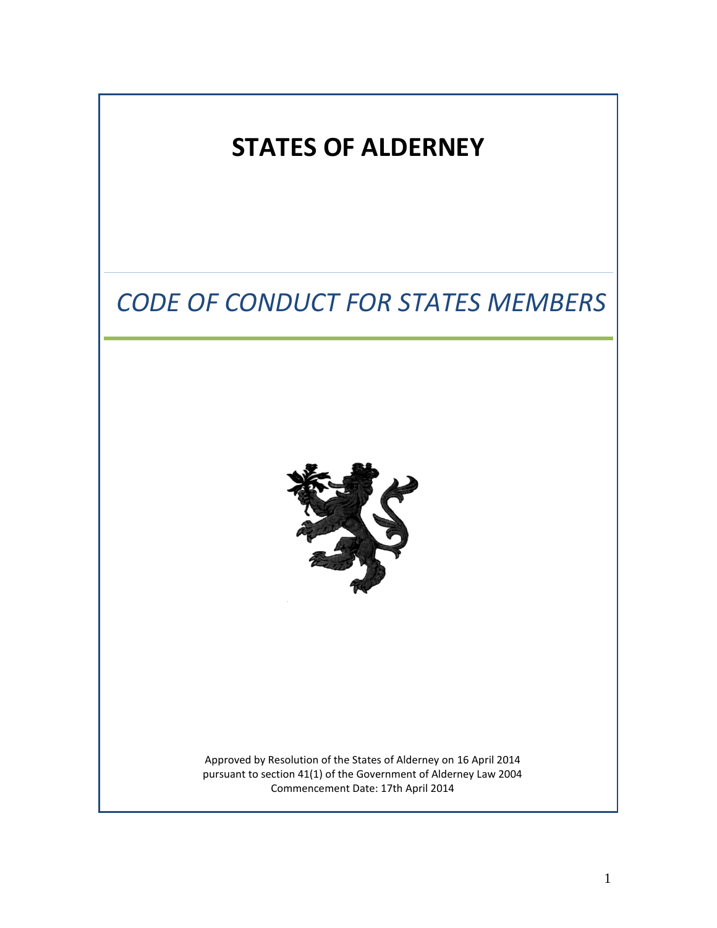# **STATES OF ALDERNEY**

# *CODE OF CONDUCT FOR STATES MEMBERS*



Approved by Resolution of the States of Alderney on 16 April 2014 pursuant to section 41(1) of the Government of Alderney Law 2004 Commencement Date: 17th April 2014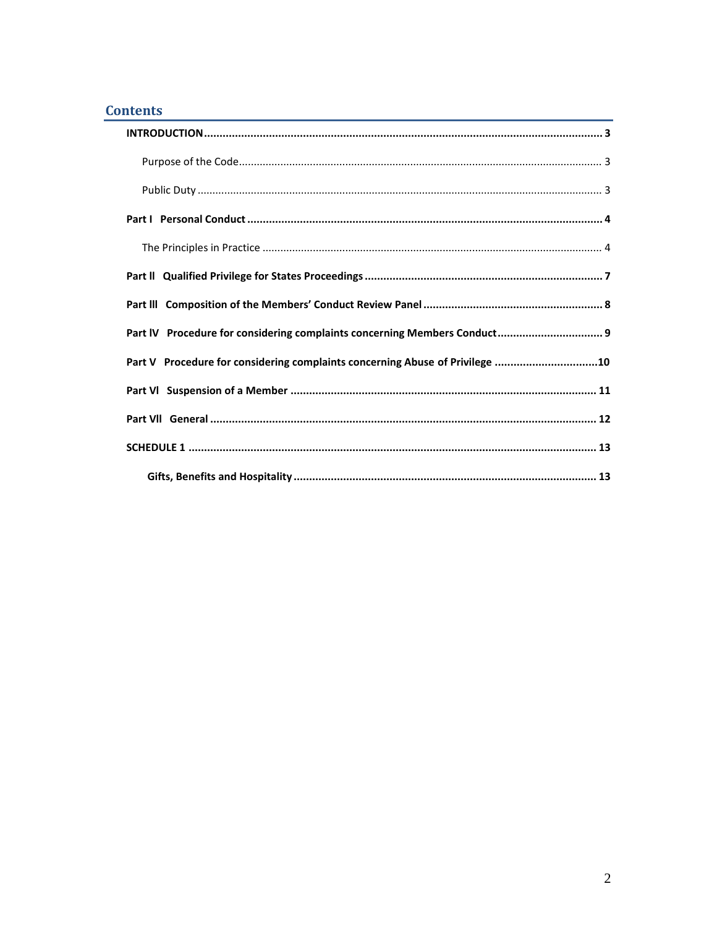#### **Contents**

| Part IV Procedure for considering complaints concerning Members Conduct 9    |
|------------------------------------------------------------------------------|
| Part V Procedure for considering complaints concerning Abuse of Privilege 10 |
|                                                                              |
|                                                                              |
|                                                                              |
|                                                                              |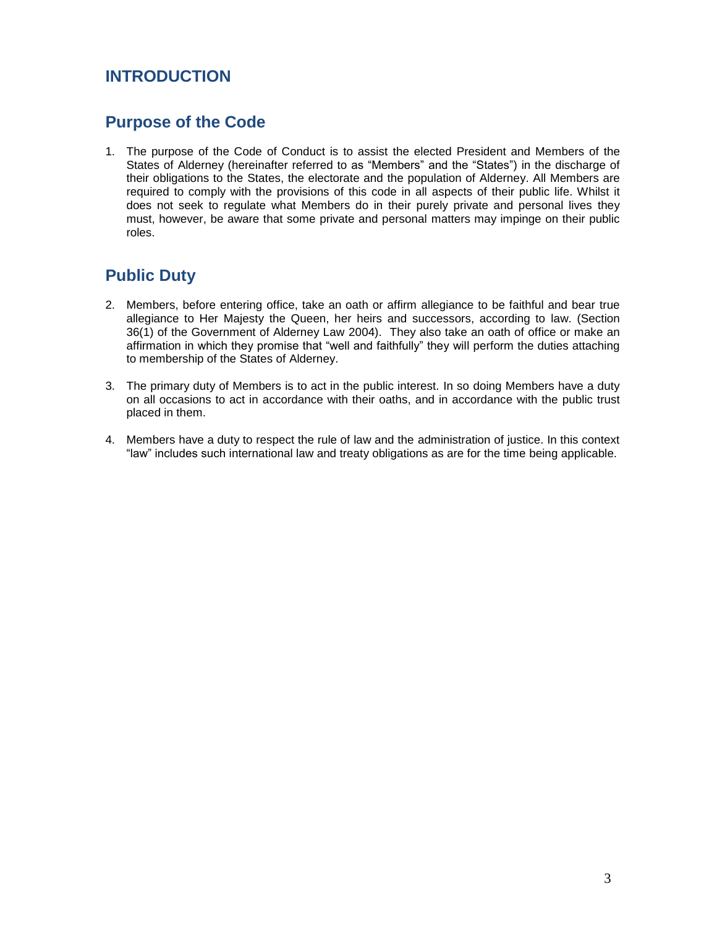# **INTRODUCTION**

## **Purpose of the Code**

1. The purpose of the Code of Conduct is to assist the elected President and Members of the States of Alderney (hereinafter referred to as "Members" and the "States") in the discharge of their obligations to the States, the electorate and the population of Alderney. All Members are required to comply with the provisions of this code in all aspects of their public life. Whilst it does not seek to regulate what Members do in their purely private and personal lives they must, however, be aware that some private and personal matters may impinge on their public roles.

# **Public Duty**

- 2. Members, before entering office, take an oath or affirm allegiance to be faithful and bear true allegiance to Her Majesty the Queen, her heirs and successors, according to law. (Section 36(1) of the Government of Alderney Law 2004). They also take an oath of office or make an affirmation in which they promise that "well and faithfully" they will perform the duties attaching to membership of the States of Alderney.
- 3. The primary duty of Members is to act in the public interest. In so doing Members have a duty on all occasions to act in accordance with their oaths, and in accordance with the public trust placed in them.
- 4. Members have a duty to respect the rule of law and the administration of justice. In this context "law" includes such international law and treaty obligations as are for the time being applicable.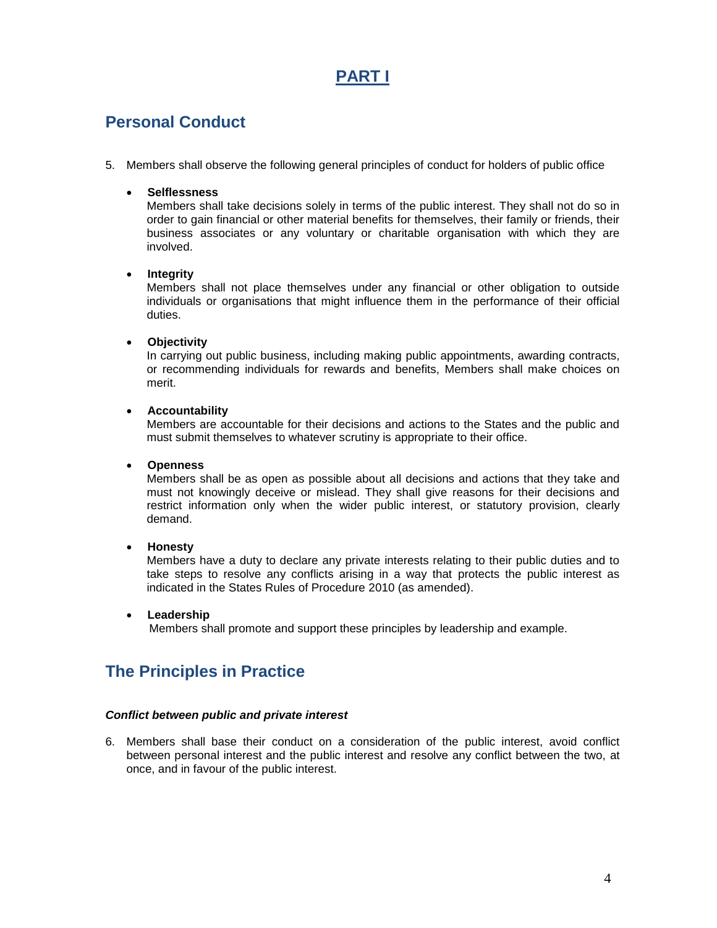# **PART I**

# **Personal Conduct**

5. Members shall observe the following general principles of conduct for holders of public office

#### **Selflessness**

Members shall take decisions solely in terms of the public interest. They shall not do so in order to gain financial or other material benefits for themselves, their family or friends, their business associates or any voluntary or charitable organisation with which they are involved.

#### **Integrity**

Members shall not place themselves under any financial or other obligation to outside individuals or organisations that might influence them in the performance of their official duties.

#### **Objectivity**

In carrying out public business, including making public appointments, awarding contracts, or recommending individuals for rewards and benefits, Members shall make choices on merit.

#### **Accountability**

Members are accountable for their decisions and actions to the States and the public and must submit themselves to whatever scrutiny is appropriate to their office.

#### **Openness**

Members shall be as open as possible about all decisions and actions that they take and must not knowingly deceive or mislead. They shall give reasons for their decisions and restrict information only when the wider public interest, or statutory provision, clearly demand.

#### **Honesty**

Members have a duty to declare any private interests relating to their public duties and to take steps to resolve any conflicts arising in a way that protects the public interest as indicated in the States Rules of Procedure 2010 (as amended).

#### **Leadership**

Members shall promote and support these principles by leadership and example.

# **The Principles in Practice**

#### *Conflict between public and private interest*

6. Members shall base their conduct on a consideration of the public interest, avoid conflict between personal interest and the public interest and resolve any conflict between the two, at once, and in favour of the public interest.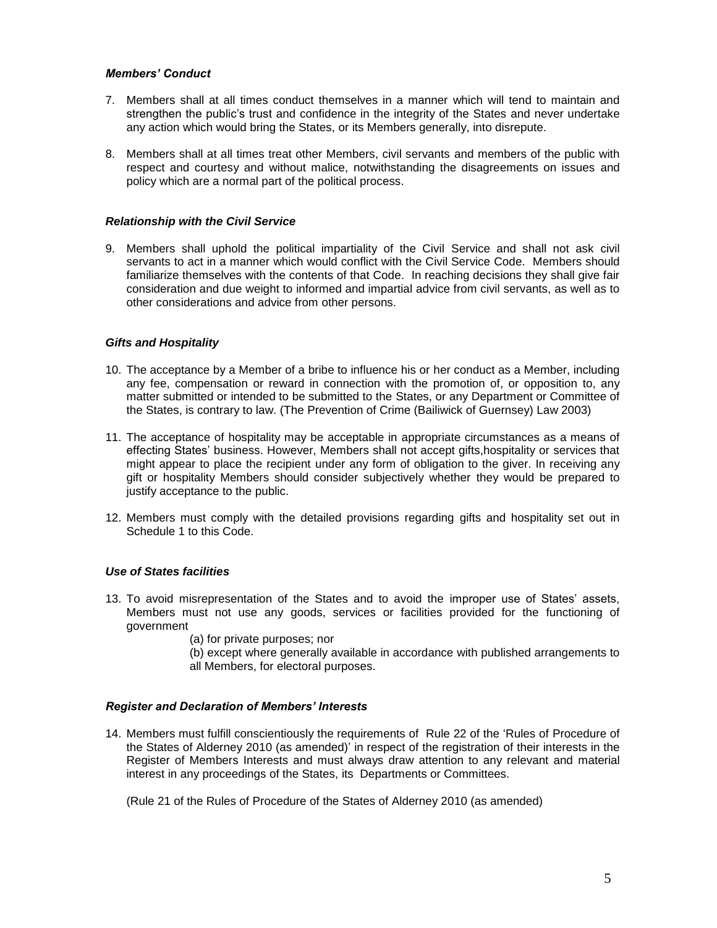#### *Members' Conduct*

- 7. Members shall at all times conduct themselves in a manner which will tend to maintain and strengthen the public's trust and confidence in the integrity of the States and never undertake any action which would bring the States, or its Members generally, into disrepute.
- 8. Members shall at all times treat other Members, civil servants and members of the public with respect and courtesy and without malice, notwithstanding the disagreements on issues and policy which are a normal part of the political process.

#### *Relationship with the Civil Service*

9. Members shall uphold the political impartiality of the Civil Service and shall not ask civil servants to act in a manner which would conflict with the Civil Service Code. Members should familiarize themselves with the contents of that Code. In reaching decisions they shall give fair consideration and due weight to informed and impartial advice from civil servants, as well as to other considerations and advice from other persons.

#### *Gifts and Hospitality*

- 10. The acceptance by a Member of a bribe to influence his or her conduct as a Member, including any fee, compensation or reward in connection with the promotion of, or opposition to, any matter submitted or intended to be submitted to the States, or any Department or Committee of the States, is contrary to law. (The Prevention of Crime (Bailiwick of Guernsey) Law 2003)
- 11. The acceptance of hospitality may be acceptable in appropriate circumstances as a means of effecting States' business. However, Members shall not accept gifts,hospitality or services that might appear to place the recipient under any form of obligation to the giver. In receiving any gift or hospitality Members should consider subjectively whether they would be prepared to justify acceptance to the public.
- 12. Members must comply with the detailed provisions regarding gifts and hospitality set out in Schedule 1 to this Code.

#### *Use of States facilities*

- 13. To avoid misrepresentation of the States and to avoid the improper use of States' assets, Members must not use any goods, services or facilities provided for the functioning of government
	- (a) for private purposes; nor
	- (b) except where generally available in accordance with published arrangements to all Members, for electoral purposes.

#### *Register and Declaration of Members' Interests*

14. Members must fulfill conscientiously the requirements of Rule 22 of the 'Rules of Procedure of the States of Alderney 2010 (as amended)' in respect of the registration of their interests in the Register of Members Interests and must always draw attention to any relevant and material interest in any proceedings of the States, its Departments or Committees.

(Rule 21 of the Rules of Procedure of the States of Alderney 2010 (as amended)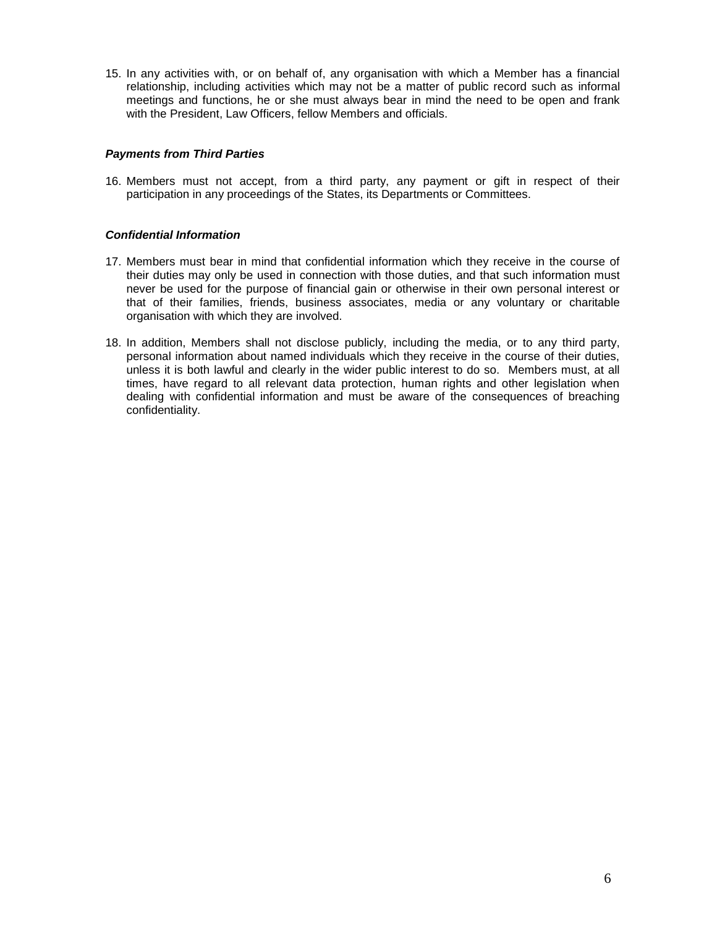15. In any activities with, or on behalf of, any organisation with which a Member has a financial relationship, including activities which may not be a matter of public record such as informal meetings and functions, he or she must always bear in mind the need to be open and frank with the President, Law Officers, fellow Members and officials.

#### *Payments from Third Parties*

16. Members must not accept, from a third party, any payment or gift in respect of their participation in any proceedings of the States, its Departments or Committees.

#### *Confidential Information*

- 17. Members must bear in mind that confidential information which they receive in the course of their duties may only be used in connection with those duties, and that such information must never be used for the purpose of financial gain or otherwise in their own personal interest or that of their families, friends, business associates, media or any voluntary or charitable organisation with which they are involved.
- 18. In addition, Members shall not disclose publicly, including the media, or to any third party, personal information about named individuals which they receive in the course of their duties, unless it is both lawful and clearly in the wider public interest to do so. Members must, at all times, have regard to all relevant data protection, human rights and other legislation when dealing with confidential information and must be aware of the consequences of breaching confidentiality.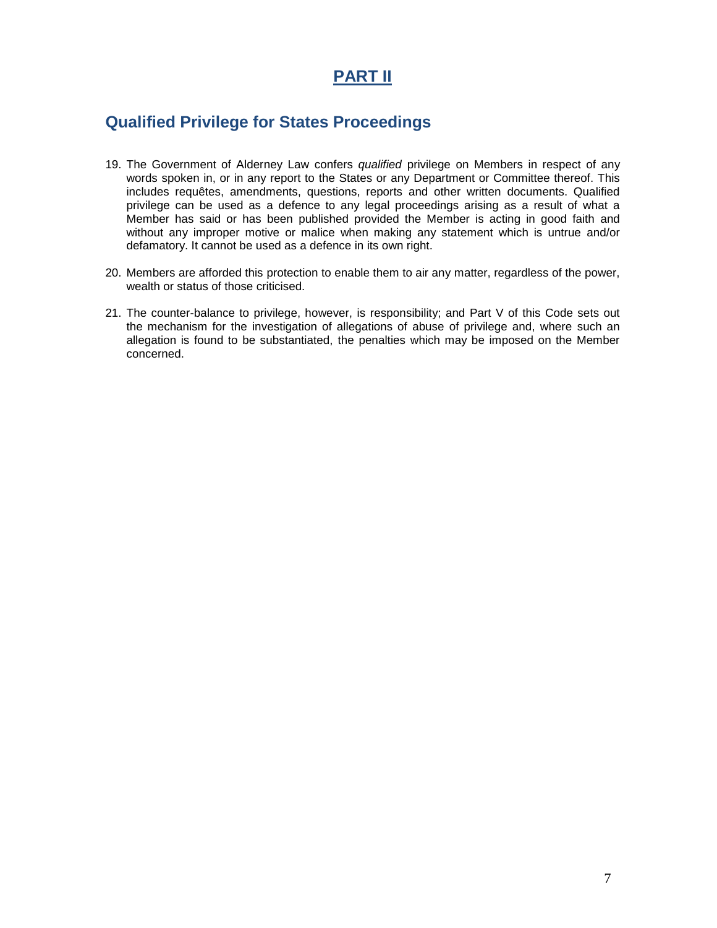# **PART II**

## **Qualified Privilege for States Proceedings**

- 19. The Government of Alderney Law confers *qualified* privilege on Members in respect of any words spoken in, or in any report to the States or any Department or Committee thereof. This includes requêtes, amendments, questions, reports and other written documents. Qualified privilege can be used as a defence to any legal proceedings arising as a result of what a Member has said or has been published provided the Member is acting in good faith and without any improper motive or malice when making any statement which is untrue and/or defamatory. It cannot be used as a defence in its own right.
- 20. Members are afforded this protection to enable them to air any matter, regardless of the power, wealth or status of those criticised.
- 21. The counter-balance to privilege, however, is responsibility; and Part V of this Code sets out the mechanism for the investigation of allegations of abuse of privilege and, where such an allegation is found to be substantiated, the penalties which may be imposed on the Member concerned.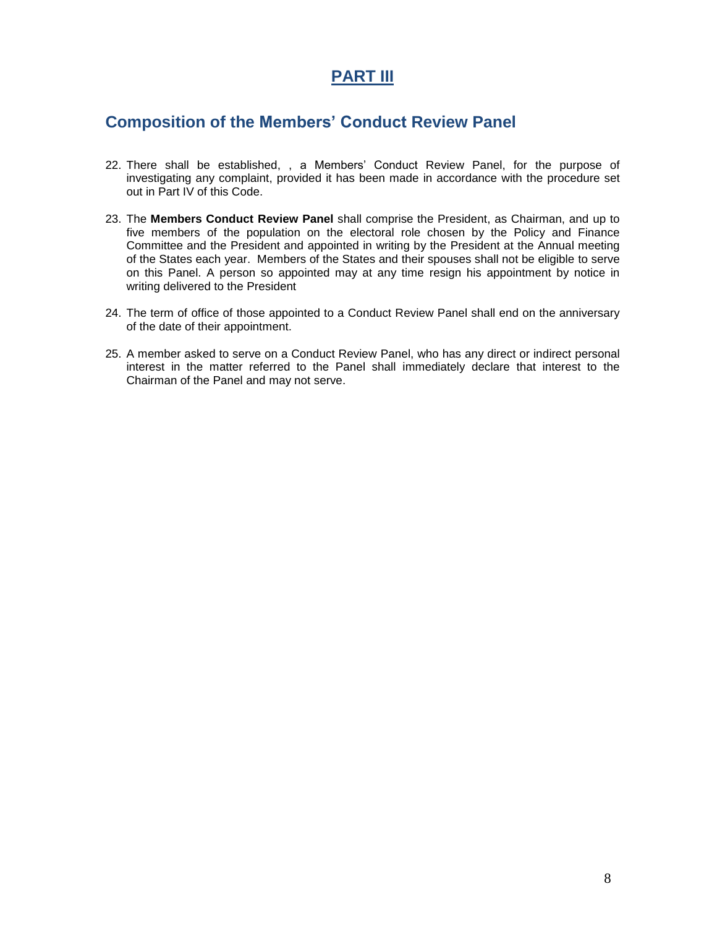### **PART III**

### **Composition of the Members' Conduct Review Panel**

- 22. There shall be established, , a Members' Conduct Review Panel, for the purpose of investigating any complaint, provided it has been made in accordance with the procedure set out in Part IV of this Code.
- 23. The **Members Conduct Review Panel** shall comprise the President, as Chairman, and up to five members of the population on the electoral role chosen by the Policy and Finance Committee and the President and appointed in writing by the President at the Annual meeting of the States each year. Members of the States and their spouses shall not be eligible to serve on this Panel. A person so appointed may at any time resign his appointment by notice in writing delivered to the President
- 24. The term of office of those appointed to a Conduct Review Panel shall end on the anniversary of the date of their appointment.
- 25. A member asked to serve on a Conduct Review Panel, who has any direct or indirect personal interest in the matter referred to the Panel shall immediately declare that interest to the Chairman of the Panel and may not serve.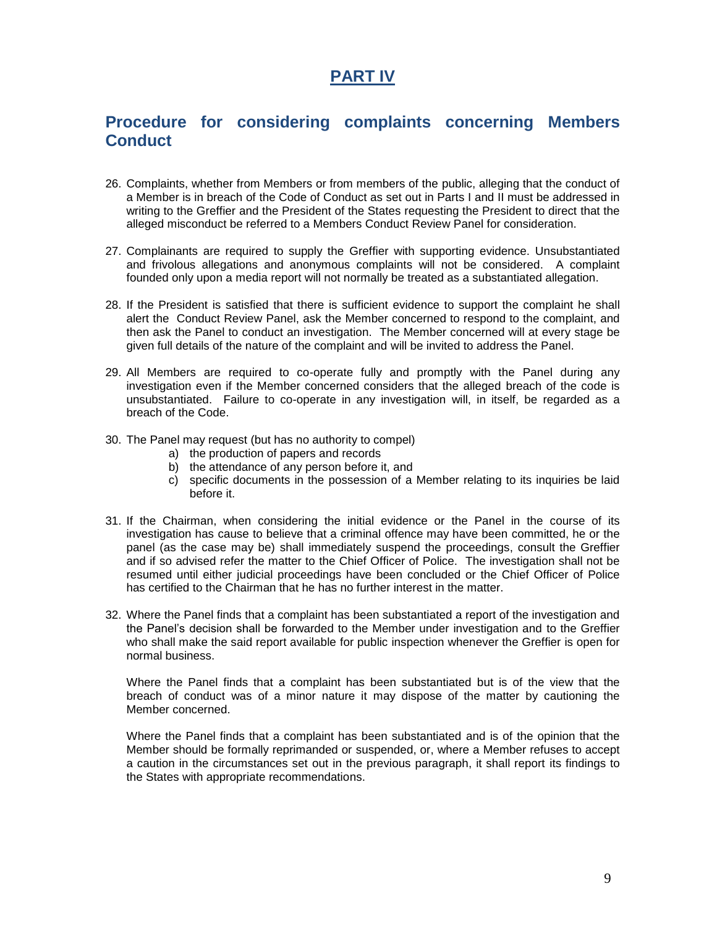## **PART IV**

## **Procedure for considering complaints concerning Members Conduct**

- 26. Complaints, whether from Members or from members of the public, alleging that the conduct of a Member is in breach of the Code of Conduct as set out in Parts I and II must be addressed in writing to the Greffier and the President of the States requesting the President to direct that the alleged misconduct be referred to a Members Conduct Review Panel for consideration.
- 27. Complainants are required to supply the Greffier with supporting evidence. Unsubstantiated and frivolous allegations and anonymous complaints will not be considered. A complaint founded only upon a media report will not normally be treated as a substantiated allegation.
- 28. If the President is satisfied that there is sufficient evidence to support the complaint he shall alert the Conduct Review Panel, ask the Member concerned to respond to the complaint, and then ask the Panel to conduct an investigation. The Member concerned will at every stage be given full details of the nature of the complaint and will be invited to address the Panel.
- 29. All Members are required to co-operate fully and promptly with the Panel during any investigation even if the Member concerned considers that the alleged breach of the code is unsubstantiated. Failure to co-operate in any investigation will, in itself, be regarded as a breach of the Code.
- 30. The Panel may request (but has no authority to compel)
	- a) the production of papers and records
	- b) the attendance of any person before it, and
	- c) specific documents in the possession of a Member relating to its inquiries be laid before it.
- 31. If the Chairman, when considering the initial evidence or the Panel in the course of its investigation has cause to believe that a criminal offence may have been committed, he or the panel (as the case may be) shall immediately suspend the proceedings, consult the Greffier and if so advised refer the matter to the Chief Officer of Police. The investigation shall not be resumed until either judicial proceedings have been concluded or the Chief Officer of Police has certified to the Chairman that he has no further interest in the matter.
- 32. Where the Panel finds that a complaint has been substantiated a report of the investigation and the Panel's decision shall be forwarded to the Member under investigation and to the Greffier who shall make the said report available for public inspection whenever the Greffier is open for normal business.

Where the Panel finds that a complaint has been substantiated but is of the view that the breach of conduct was of a minor nature it may dispose of the matter by cautioning the Member concerned.

Where the Panel finds that a complaint has been substantiated and is of the opinion that the Member should be formally reprimanded or suspended, or, where a Member refuses to accept a caution in the circumstances set out in the previous paragraph, it shall report its findings to the States with appropriate recommendations.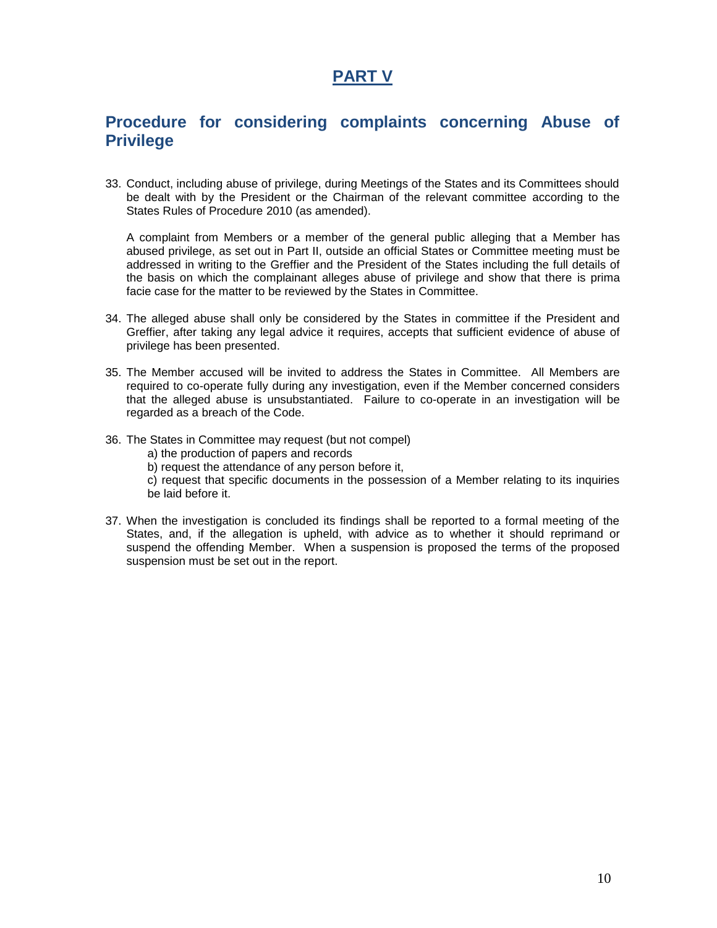# **PART V**

### **Procedure for considering complaints concerning Abuse of Privilege**

33. Conduct, including abuse of privilege, during Meetings of the States and its Committees should be dealt with by the President or the Chairman of the relevant committee according to the States Rules of Procedure 2010 (as amended).

A complaint from Members or a member of the general public alleging that a Member has abused privilege, as set out in Part II, outside an official States or Committee meeting must be addressed in writing to the Greffier and the President of the States including the full details of the basis on which the complainant alleges abuse of privilege and show that there is prima facie case for the matter to be reviewed by the States in Committee.

- 34. The alleged abuse shall only be considered by the States in committee if the President and Greffier, after taking any legal advice it requires, accepts that sufficient evidence of abuse of privilege has been presented.
- 35. The Member accused will be invited to address the States in Committee. All Members are required to co-operate fully during any investigation, even if the Member concerned considers that the alleged abuse is unsubstantiated. Failure to co-operate in an investigation will be regarded as a breach of the Code.
- 36. The States in Committee may request (but not compel)

a) the production of papers and records

b) request the attendance of any person before it,

c) request that specific documents in the possession of a Member relating to its inquiries be laid before it.

37. When the investigation is concluded its findings shall be reported to a formal meeting of the States, and, if the allegation is upheld, with advice as to whether it should reprimand or suspend the offending Member. When a suspension is proposed the terms of the proposed suspension must be set out in the report.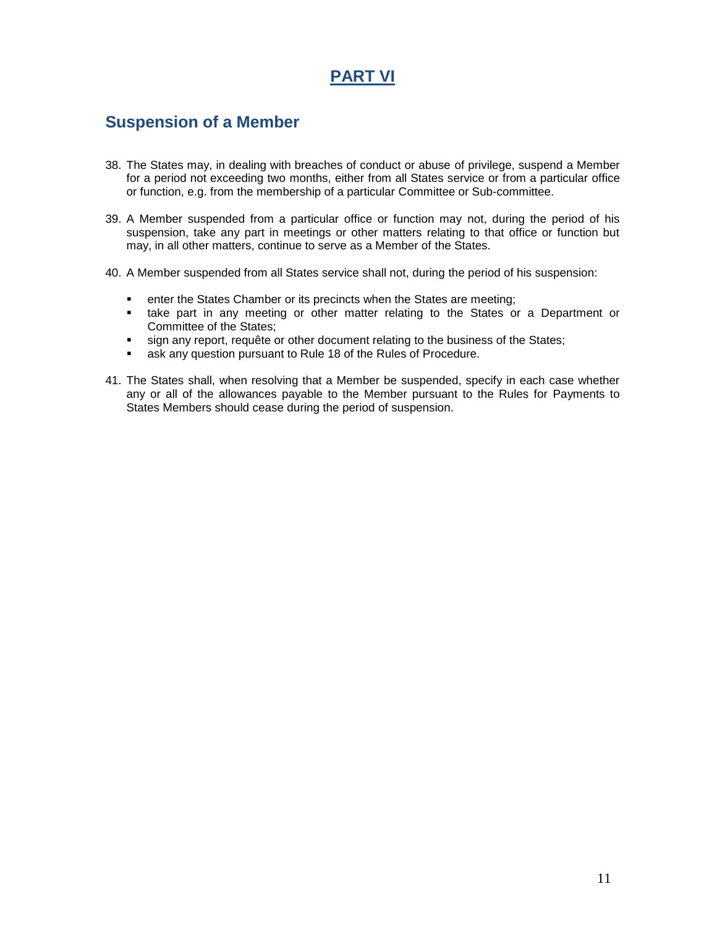## **PART VI**

### **Suspension of a Member**

- 38. The States may, in dealing with breaches of conduct or abuse of privilege, suspend a Member for a period not exceeding two months, either from all States service or from a particular office or function, e.g. from the membership of a particular Committee or Sub-committee.
- 39. A Member suspended from a particular office or function may not, during the period of his suspension, take any part in meetings or other matters relating to that office or function but may, in all other matters, continue to serve as a Member of the States.
- 40. A Member suspended from all States service shall not, during the period of his suspension:
	- **EXEDENT ENTER IN STATE STATE:** enter the States are meeting;
	- **take part in any meeting or other matter relating to the States or a Department or** Committee of the States;
	- sign any report, requête or other document relating to the business of the States;
	- **EXE** ask any question pursuant to Rule 18 of the Rules of Procedure.
- 41. The States shall, when resolving that a Member be suspended, specify in each case whether any or all of the allowances payable to the Member pursuant to the Rules for Payments to States Members should cease during the period of suspension.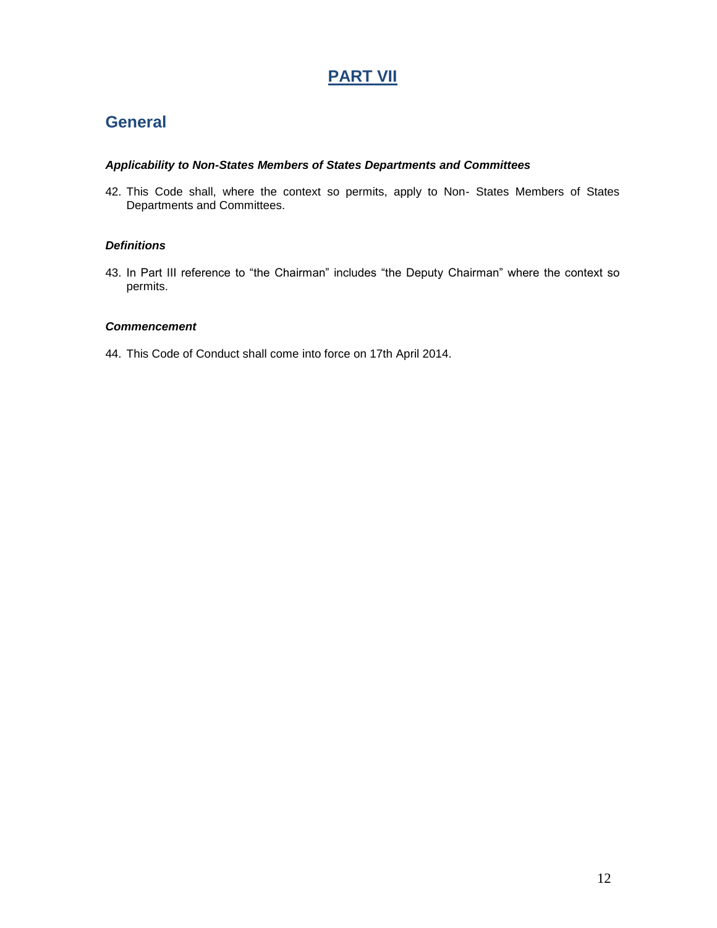# **PART VII**

# **General**

#### *Applicability to Non-States Members of States Departments and Committees*

42. This Code shall, where the context so permits, apply to Non- States Members of States Departments and Committees.

#### *Definitions*

43. In Part III reference to "the Chairman" includes "the Deputy Chairman" where the context so permits.

#### *Commencement*

44. This Code of Conduct shall come into force on 17th April 2014.